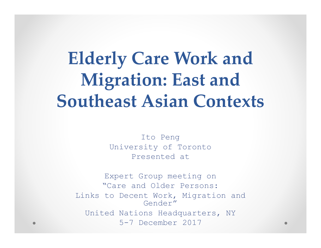# **Elderly Care Work and Migration: East and Southeast Asian Contexts**

Ito Peng University of TorontoPresented at

Expert Group meeting on "Care and Older Persons: Links to Decent Work, Migration and Gender" United Nations Headquarters, NY5-7 December 2017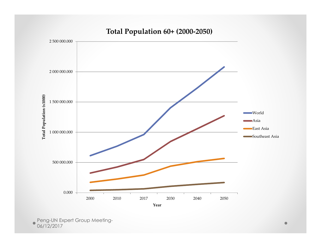

#### **Total Population 60+ (2000-2050)**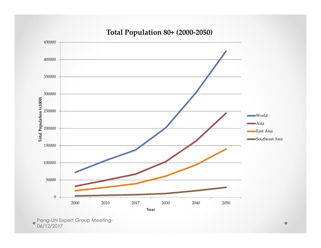

#### **Total Population 80+ (2000-2050)**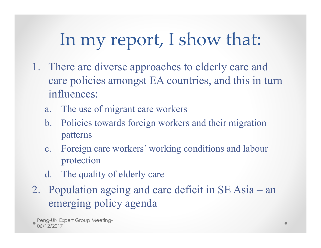# In my report, I show that:

- 1. There are diverse approaches to elderly care and care policies amongst EA countries, and this in turn influences:
	- a. The use of migrant care workers
	- b. Policies towards foreign workers and their migration patterns
	- c. Foreign care workers' working conditions and labour protection
	- d. The quality of elderly care
- 2. Population ageing and care deficit in SE Asia an emerging policy agenda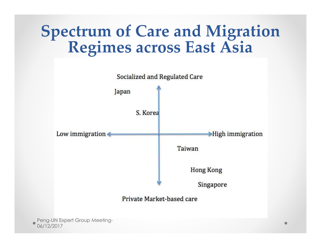### **Spectrum of Care and Migration Regimes across East Asia**

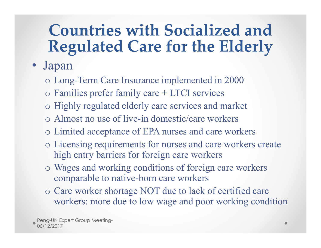## **Countries with Socialized and Regulated Care for the Elderly**

- Japan
	- o Long-Term Care Insurance implemented in 2000
	- o Families prefer family care + LTCI services
	- o Highly regulated elderly care services and market
	- o Almost no use of live-in domestic/care workers
	- o Limited acceptance of EPA nurses and care workers
	- o Licensing requirements for nurses and care workers create high entry barriers for foreign care workers
	- o Wages and working conditions of foreign care workers comparable to native-born care workers
	- o Care worker shortage NOT due to lack of certified care workers: more due to low wage and poor working condition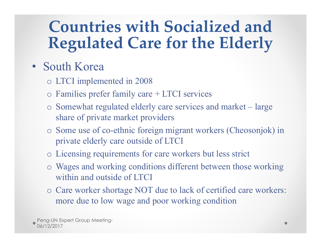### **Countries with Socialized and Regulated Care for the Elderly**

### • South Korea

- o LTCI implemented in 2008
- o Families prefer family care + LTCI services
- o Somewhat regulated elderly care services and market large share of private market providers
- o Some use of co-ethnic foreign migrant workers (Cheosonjok) in private elderly care outside of LTCI
- o Licensing requirements for care workers but less strict
- o Wages and working conditions different between those working within and outside of LTCI
- o Care worker shortage NOT due to lack of certified care workers: more due to low wage and poor working condition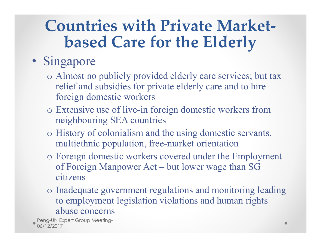### **Countries with Private Marketbased Care for the Elderly**

### • Singapore

- o Almost no publicly provided elderly care services; but tax relief and subsidies for private elderly care and to hire foreign domestic workers
- o Extensive use of live-in foreign domestic workers from neighbouring SEA countries
- o History of colonialism and the using domestic servants, multiethnic population, free-market orientation
- o Foreign domestic workers covered under the Employment of Foreign Manpower Act – but lower wage than SG citizens
- o Inadequate government regulations and monitoring leading to employment legislation violations and human rights abuse concerns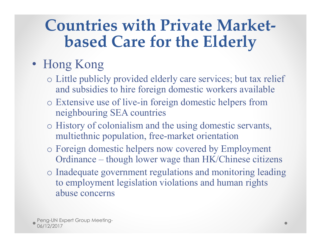### **Countries with Private Marketbased Care for the Elderly**

### • Hong Kong

- o Little publicly provided elderly care services; but tax relief and subsidies to hire foreign domestic workers available
- o Extensive use of live-in foreign domestic helpers from neighbouring SEA countries
- o History of colonialism and the using domestic servants, multiethnic population, free-market orientation
- o Foreign domestic helpers now covered by Employment Ordinance – though lower wage than HK/Chinese citizens
- o Inadequate government regulations and monitoring leading to employment legislation violations and human rights abuse concerns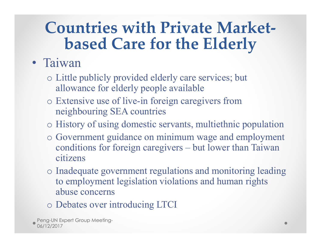### **Countries with Private Marketbased Care for the Elderly**

- Taiwan
	- o Little publicly provided elderly care services; but allowance for elderly people available
	- $\circ$  Extensive use of live-in foreign caregivers from neighbouring SEA countries
	- o History of using domestic servants, multiethnic population
	- o Government guidance on minimum wage and employment conditions for foreign caregivers – but lower than Taiwan citizens
	- o Inadequate government regulations and monitoring leading to employment legislation violations and human rights abuse concerns
	- o Debates over introducing LTCI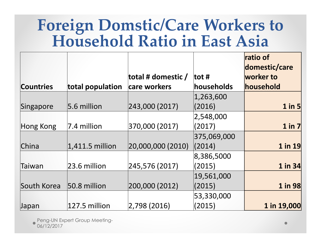### **Foreign Domstic/Care Workers to Household Ratio in East Asia**

|                  |                   |                    |             | <b>ratio of</b> |
|------------------|-------------------|--------------------|-------------|-----------------|
|                  |                   |                    |             | domestic/care   |
|                  |                   | total # domestic / | tot #       | worker to       |
| <b>Countries</b> | total population  | care workers       | households  | household       |
|                  |                   |                    | 1,263,600   |                 |
| Singapore        | $5.6$ million     | 243,000 (2017)     | (2016)      | $1$ in $5$      |
|                  |                   |                    | 2,548,000   |                 |
| Hong Kong        | 7.4 million       | 370,000 (2017)     | (2017)      | $1$ in $7$      |
|                  |                   |                    | 375,069,000 |                 |
| China            | $1,411.5$ million | 20,000,000 (2010)  | (2014)      | 1 in 19         |
|                  |                   |                    | 8,386,5000  |                 |
| Taiwan           | $ 23.6$ million   | 245,576 (2017)     | (2015)      | $1$ in 34       |
|                  |                   |                    | 19,561,000  |                 |
| South Korea      | 50.8 million      | 200,000 (2012)     | (2015)      | 1 in 98         |
|                  |                   |                    | 53,330,000  |                 |
| Japan            | 127.5 million     | 2,798(2016)        | (2015)      | 1 in 19,000     |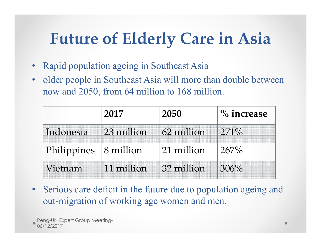## **Future of Elderly Care in Asia**

- •Rapid population ageing in Southeast Asia
- • older people in Southeast Asia will more than double between now and 2050, from 64 million to 168 million.

|                         | 2017       | 2050       | $\%$ increase |
|-------------------------|------------|------------|---------------|
| Indonesia               | 23 million | 62 million | $271\%$       |
| Philippines   8 million |            | 21 million | $267\%$       |
| Vietnam                 | 11 million | 32 million | $306\%$       |

 $\bullet$  Serious care deficit in the future due to population ageing and out-migration of working age women and men.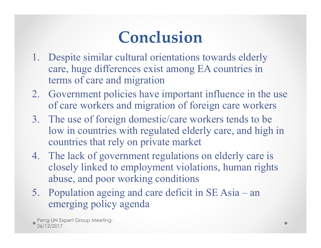## **Conclusion**

- 1. Despite similar cultural orientations towards elderly care, huge differences exist among EA countries in terms of care and migration
- 2. Government policies have important influence in the use of care workers and migration of foreign care workers
- 3. The use of foreign domestic/care workers tends to be low in countries with regulated elderly care, and high in countries that rely on private market
- 4. The lack of government regulations on elderly care is closely linked to employment violations, human rights abuse, and poor working conditions
- 5. Population ageing and care deficit in SE Asia an emerging policy agenda